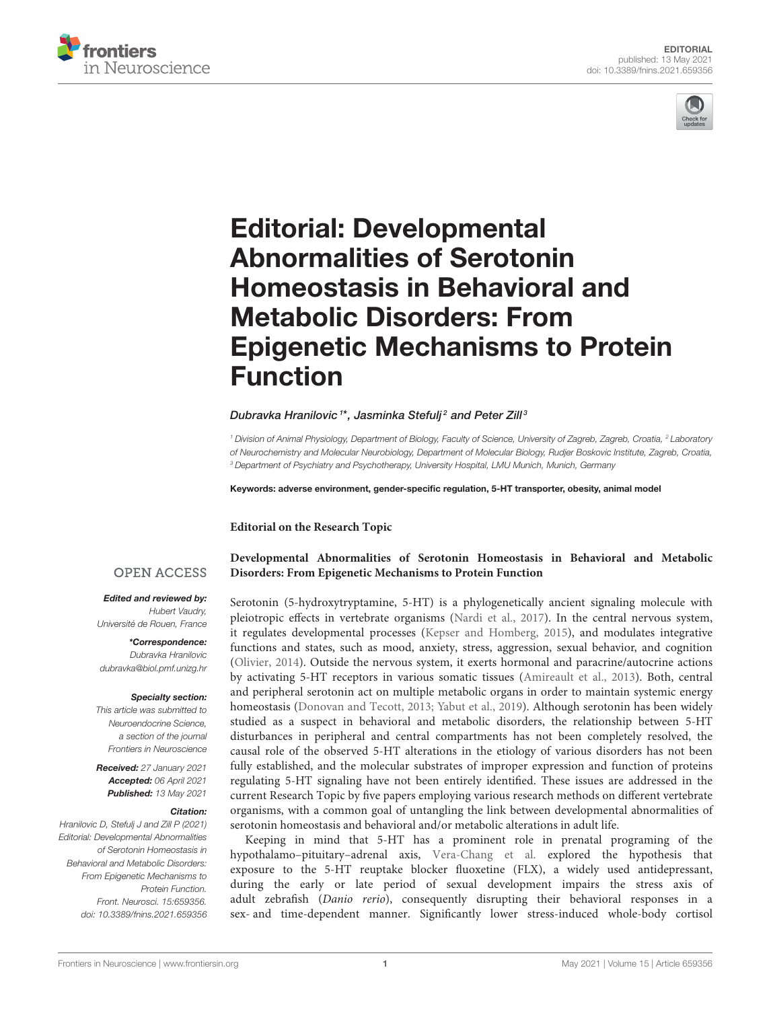



# Editorial: Developmental Abnormalities of Serotonin Homeostasis in Behavioral and Metabolic Disorders: From [Epigenetic Mechanisms to Protein](https://www.frontiersin.org/articles/10.3389/fnins.2021.659356/full) Function

## Dubravka Hranilovic <sup>1\*</sup>, Jasminka Stefulj<sup>2</sup> and Peter Zill<sup>3</sup>

<sup>1</sup> Division of Animal Physiology, Department of Biology, Faculty of Science, University of Zagreb, Zagreb, Croatia, <sup>2</sup> Laboratory of Neurochemistry and Molecular Neurobiology, Department of Molecular Biology, Rudjer Boskovic Institute, Zagreb, Croatia, <sup>3</sup> Department of Psychiatry and Psychotherapy, University Hospital, LMU Munich, Munich, Germany

Keywords: adverse environment, gender-specific regulation, 5-HT transporter, obesity, animal model

**Editorial on the Research Topic**

### **OPEN ACCESS**

Edited and reviewed by:

Hubert Vaudry, Université de Rouen, France

\*Correspondence: Dubravka Hranilovic [dubravka@biol.pmf.unizg.hr](mailto:dubravka@biol.pmf.unizg.hr)

#### Specialty section:

This article was submitted to Neuroendocrine Science, a section of the journal Frontiers in Neuroscience

Received: 27 January 2021 Accepted: 06 April 2021 Published: 13 May 2021

#### Citation:

Hranilovic D, Stefulj J and Zill P (2021) Editorial: Developmental Abnormalities of Serotonin Homeostasis in Behavioral and Metabolic Disorders: From Epigenetic Mechanisms to Protein Function. Front. Neurosci. 15:659356. doi: [10.3389/fnins.2021.659356](https://doi.org/10.3389/fnins.2021.659356) **[Developmental Abnormalities of Serotonin Homeostasis in Behavioral and Metabolic](https://www.frontiersin.org/research-topics/9697/developmental-abnormalities-of-serotonin-homeostasis-in-behavioral-and-metabolic-disorders-from-epig) Disorders: From Epigenetic Mechanisms to Protein Function**

Serotonin (5-hydroxytryptamine, 5-HT) is a phylogenetically ancient signaling molecule with pleiotropic effects in vertebrate organisms [\(Nardi et al., 2017\)](#page-2-0). In the central nervous system, it regulates developmental processes [\(Kepser and Homberg, 2015\)](#page-2-1), and modulates integrative functions and states, such as mood, anxiety, stress, aggression, sexual behavior, and cognition [\(Olivier, 2014\)](#page-2-2). Outside the nervous system, it exerts hormonal and paracrine/autocrine actions by activating 5-HT receptors in various somatic tissues [\(Amireault et al., 2013\)](#page-2-3). Both, central and peripheral serotonin act on multiple metabolic organs in order to maintain systemic energy homeostasis [\(Donovan and Tecott, 2013;](#page-2-4) [Yabut et al., 2019\)](#page-2-5). Although serotonin has been widely studied as a suspect in behavioral and metabolic disorders, the relationship between 5-HT disturbances in peripheral and central compartments has not been completely resolved, the causal role of the observed 5-HT alterations in the etiology of various disorders has not been fully established, and the molecular substrates of improper expression and function of proteins regulating 5-HT signaling have not been entirely identified. These issues are addressed in the current Research Topic by five papers employing various research methods on different vertebrate organisms, with a common goal of untangling the link between developmental abnormalities of serotonin homeostasis and behavioral and/or metabolic alterations in adult life.

Keeping in mind that 5-HT has a prominent role in prenatal programing of the hypothalamo–pituitary–adrenal axis, [Vera-Chang et al.](https://doi.org/10.3389/fnins.2019.01015) explored the hypothesis that exposure to the 5-HT reuptake blocker fluoxetine (FLX), a widely used antidepressant, during the early or late period of sexual development impairs the stress axis of adult zebrafish (Danio rerio), consequently disrupting their behavioral responses in a sex- and time-dependent manner. Significantly lower stress-induced whole-body cortisol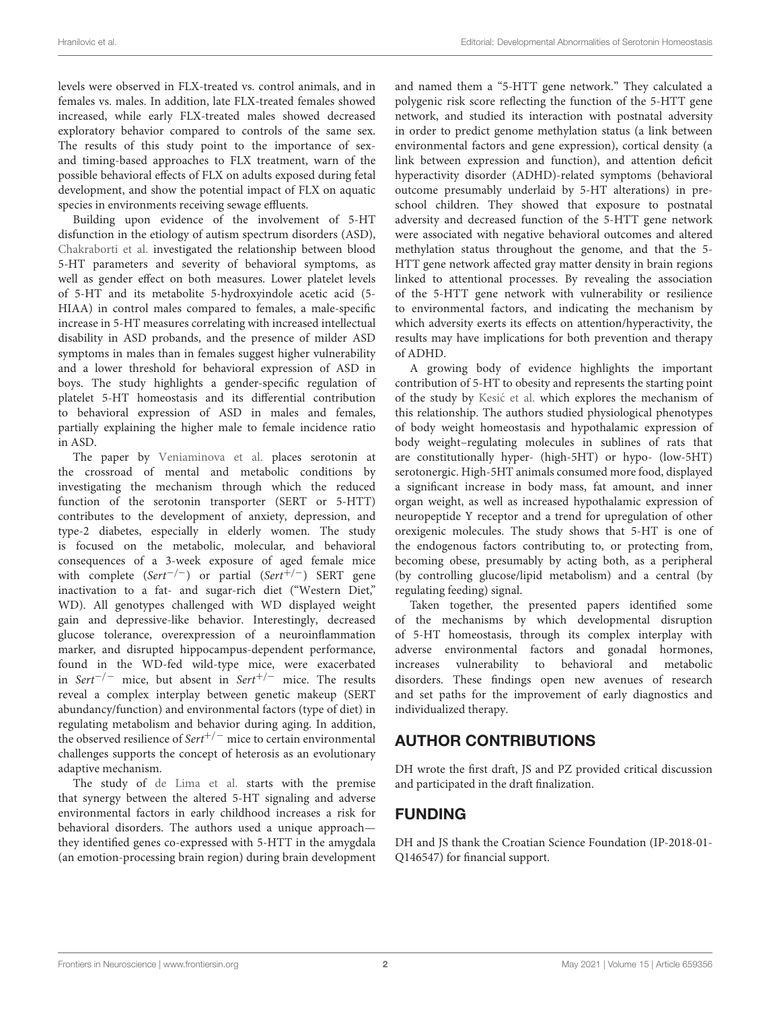levels were observed in FLX-treated vs. control animals, and in females vs. males. In addition, late FLX-treated females showed increased, while early FLX-treated males showed decreased exploratory behavior compared to controls of the same sex. The results of this study point to the importance of sexand timing-based approaches to FLX treatment, warn of the possible behavioral effects of FLX on adults exposed during fetal development, and show the potential impact of FLX on aquatic species in environments receiving sewage effluents.

Building upon evidence of the involvement of 5-HT disfunction in the etiology of autism spectrum disorders (ASD), [Chakraborti et al.](https://doi.org/10.3389/fnins.2019.01375) investigated the relationship between blood 5-HT parameters and severity of behavioral symptoms, as well as gender effect on both measures. Lower platelet levels of 5-HT and its metabolite 5-hydroxyindole acetic acid (5- HIAA) in control males compared to females, a male-specific increase in 5-HT measures correlating with increased intellectual disability in ASD probands, and the presence of milder ASD symptoms in males than in females suggest higher vulnerability and a lower threshold for behavioral expression of ASD in boys. The study highlights a gender-specific regulation of platelet 5-HT homeostasis and its differential contribution to behavioral expression of ASD in males and females, partially explaining the higher male to female incidence ratio in ASD.

The paper by [Veniaminova et al.](https://doi.org/10.3389/fnins.2020.00024) places serotonin at the crossroad of mental and metabolic conditions by investigating the mechanism through which the reduced function of the serotonin transporter (SERT or 5-HTT) contributes to the development of anxiety, depression, and type-2 diabetes, especially in elderly women. The study is focused on the metabolic, molecular, and behavioral consequences of a 3-week exposure of aged female mice with complete (Sert<sup>-/-</sup>) or partial (Sert<sup>+/-</sup>) SERT gene inactivation to a fat- and sugar-rich diet ("Western Diet," WD). All genotypes challenged with WD displayed weight gain and depressive-like behavior. Interestingly, decreased glucose tolerance, overexpression of a neuroinflammation marker, and disrupted hippocampus-dependent performance, found in the WD-fed wild-type mice, were exacerbated in Sert<sup>-/-</sup> mice, but absent in Sert<sup>+/-</sup> mice. The results reveal a complex interplay between genetic makeup (SERT abundancy/function) and environmental factors (type of diet) in regulating metabolism and behavior during aging. In addition, the observed resilience of Sert<sup>+/−</sup> mice to certain environmental challenges supports the concept of heterosis as an evolutionary adaptive mechanism.

The study of [de Lima et al.](https://doi.org/10.3389/fnins.2020.00198) starts with the premise that synergy between the altered 5-HT signaling and adverse environmental factors in early childhood increases a risk for behavioral disorders. The authors used a unique approach they identified genes co-expressed with 5-HTT in the amygdala (an emotion-processing brain region) during brain development and named them a "5-HTT gene network." They calculated a polygenic risk score reflecting the function of the 5-HTT gene network, and studied its interaction with postnatal adversity in order to predict genome methylation status (a link between environmental factors and gene expression), cortical density (a link between expression and function), and attention deficit hyperactivity disorder (ADHD)-related symptoms (behavioral outcome presumably underlaid by 5-HT alterations) in preschool children. They showed that exposure to postnatal adversity and decreased function of the 5-HTT gene network were associated with negative behavioral outcomes and altered methylation status throughout the genome, and that the 5- HTT gene network affected gray matter density in brain regions linked to attentional processes. By revealing the association of the 5-HTT gene network with vulnerability or resilience to environmental factors, and indicating the mechanism by which adversity exerts its effects on attention/hyperactivity, the results may have implications for both prevention and therapy of ADHD.

A growing body of evidence highlights the important contribution of 5-HT to obesity and represents the starting point of the study by Kesić et al. which explores the mechanism of this relationship. The authors studied physiological phenotypes of body weight homeostasis and hypothalamic expression of body weight–regulating molecules in sublines of rats that are constitutionally hyper- (high-5HT) or hypo- (low-5HT) serotonergic. High-5HT animals consumed more food, displayed a significant increase in body mass, fat amount, and inner organ weight, as well as increased hypothalamic expression of neuropeptide Y receptor and a trend for upregulation of other orexigenic molecules. The study shows that 5-HT is one of the endogenous factors contributing to, or protecting from, becoming obese, presumably by acting both, as a peripheral (by controlling glucose/lipid metabolism) and a central (by regulating feeding) signal.

Taken together, the presented papers identified some of the mechanisms by which developmental disruption of 5-HT homeostasis, through its complex interplay with adverse environmental factors and gonadal hormones, increases vulnerability to behavioral and metabolic disorders. These findings open new avenues of research and set paths for the improvement of early diagnostics and individualized therapy.

# AUTHOR CONTRIBUTIONS

DH wrote the first draft, JS and PZ provided critical discussion and participated in the draft finalization.

# FUNDING

DH and JS thank the Croatian Science Foundation (IP-2018-01- Q146547) for financial support.